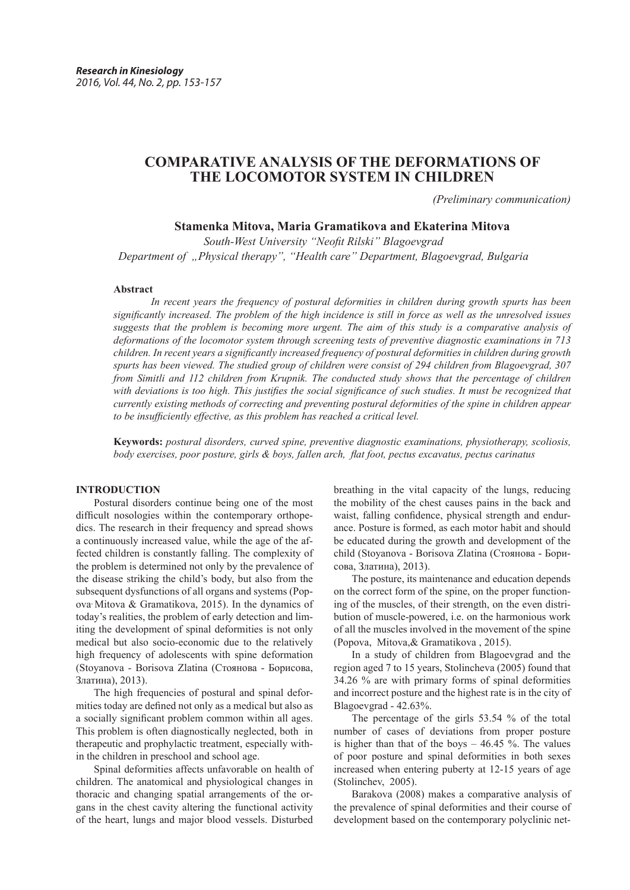# **COMPARATIVE ANALYSIS OF THE DEFORMATIONS OF THE LOCOMOTOR SYSTEM IN CHILDREN**

*(Preliminary communication)*

## **Stamenka Mitova, Maria Gramatikova and Ekaterina Mitova**

*South-West University "Neofit Rilski" Blagoevgrad Department of "Physical therapy", "Health care" Department, Blagoevgrad, Bulgaria*

#### **Abstract**

*In recent years the frequency of postural deformities in children during growth spurts has been significantly increased. The problem of the high incidence is still in force as well as the unresolved issues suggests that the problem is becoming more urgent. The aim of this study is a comparative analysis of deformations of the locomotor system through screening tests of preventive diagnostic examinations in 713 children. In recent years a significantly increased frequency of postural deformities in children during growth spurts has been viewed. The studied group of children were consist of 294 children from Blagoevgrad, 307 from Simitli and 112 children from Krupnik. The conducted study shows that the percentage of children* with deviations is too high. This justifies the social significance of such studies. It must be recognized that *currently existing methods of correcting and preventing postural deformities of the spine in children appear to be insufficiently effective, as this problem has reached a critical level.*

**Keywords:** *postural disorders, curved spine, preventive diagnostic examinations, physiotherapy, scoliosis, body exercises, poor posture, girls & boys, fallen arch, flat foot, pectus excavatus, pectus carinatus* 

## **INTRODUCTION**

Postural disorders continue being one of the most difficult nosologies within the contemporary orthopedics. The research in their frequency and spread shows a continuously increased value, while the age of the affected children is constantly falling. The complexity of the problem is determined not only by the prevalence of the disease striking the child's body, but also from the subsequent dysfunctions of all organs and systems (Popova, Mitova & Gramatikova, 2015). In the dynamics of today's realities, the problem of early detection and limiting the development of spinal deformities is not only medical but also socio-economic due to the relatively high frequency of adolescents with spine deformation (Stoyanova - Borisova Zlatina (Стоянова - Борисова, Златина), 2013).

The high frequencies of postural and spinal deformities today are defined not only as a medical but also as a socially significant problem common within all ages. This problem is often diagnostically neglected, both in therapeutic and prophylactic treatment, especially within the children in preschool and school age.

Spinal deformities affects unfavorable on health of children. The anatomical and physiological changes in thoracic and changing spatial arrangements of the organs in the chest cavity altering the functional activity of the heart, lungs and major blood vessels. Disturbed

breathing in the vital capacity of the lungs, reducing the mobility of the chest causes pains in the back and waist, falling confidence, physical strength and endurance. Posture is formed, as each motor habit and should be educated during the growth and development of the child (Stoyanova - Borisova Zlatina (Стоянова - Борисова, Златина), 2013).

The posture, its maintenance and education depends on the correct form of the spine, on the proper functioning of the muscles, of their strength, on the even distribution of muscle-powered, i.e. on the harmonious work of all the muscles involved in the movement of the spine (Popova, Mitova,& Gramatikova , 2015).

In a study of children from Blagoevgrad and the region aged 7 to 15 years, Stolincheva (2005) found that 34.26 % are with primary forms of spinal deformities and incorrect posture and the highest rate is in the city of Blagoevgrad - 42.63%.

The percentage of the girls 53.54 % of the total number of cases of deviations from proper posture is higher than that of the boys  $-46.45$  %. The values of poor posture and spinal deformities in both sexes increased when entering puberty at 12-15 years of age (Stolinchev, 2005).

Barakova (2008) makes a comparative analysis of the prevalence of spinal deformities and their course of development based on the contemporary polyclinic net-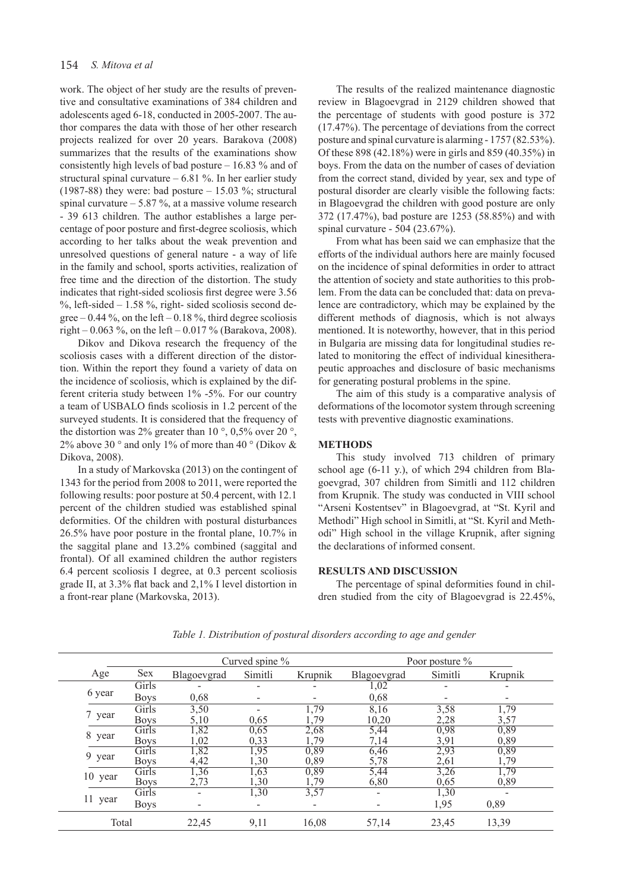## 154 *S. Mitova et al*

work. The object of her study are the results of preventive and consultative examinations of 384 children and adolescents aged 6-18, conducted in 2005-2007. The author compares the data with those of her other research projects realized for over 20 years. Barakova (2008) summarizes that the results of the examinations show consistently high levels of bad posture – 16.83 % and of structural spinal curvature – 6.81 %. In her earlier study (1987-88) they were: bad posture  $- 15.03$  %; structural spinal curvature  $-$  5.87 %, at a massive volume research - 39 613 children. The author establishes a large percentage of poor posture and first-degree scoliosis, which according to her talks about the weak prevention and unresolved questions of general nature - a way of life in the family and school, sports activities, realization of free time and the direction of the distortion. The study indicates that right-sided scoliosis first degree were 3.56  $\%$ , left-sided – 1.58 %, right- sided scoliosis second degree  $-0.44\%$ , on the left  $-0.18\%$ , third degree scoliosis right – 0.063 %, on the left – 0.017 % (Barakova, 2008).

Dikov and Dikova research the frequency of the scoliosis cases with a different direction of the distortion. Within the report they found a variety of data on the incidence of scoliosis, which is explained by the different criteria study between 1% -5%. For our country a team of USBALO finds scoliosis in 1.2 percent of the surveyed students. It is considered that the frequency of the distortion was 2% greater than 10 $^{\circ}$ , 0,5% over 20 $^{\circ}$ , 2% above 30  $\degree$  and only 1% of more than 40  $\degree$  (Dikov & Dikova, 2008).

In a study of Markovska (2013) on the contingent of 1343 for the period from 2008 to 2011, were reported the following results: poor posture at 50.4 percent, with 12.1 percent of the children studied was established spinal deformities. Of the children with postural disturbances 26.5% have poor posture in the frontal plane, 10.7% in the saggital plane and 13.2% combined (saggital and frontal). Of all examined children the author registers 6.4 percent scoliosis I degree, at 0.3 percent scoliosis grade II, at 3.3% flat back and 2,1% I level distortion in a front-rear plane (Markovska, 2013).

The results of the realized maintenance diagnostic review in Blagoevgrad in 2129 children showed that the percentage of students with good posture is 372 (17.47%). The percentage of deviations from the correct posture and spinal curvature is alarming - 1757 (82.53%). Of these 898 (42.18%) were in girls and 859 (40.35%) in boys. From the data on the number of cases of deviation from the correct stand, divided by year, sex and type of postural disorder are clearly visible the following facts: in Blagoevgrad the children with good posture are only 372 (17.47%), bad posture are 1253 (58.85%) and with spinal curvature - 504 (23.67%).

From what has been said we can emphasize that the efforts of the individual authors here are mainly focused on the incidence of spinal deformities in order to attract the attention of society and state authorities to this problem. From the data can be concluded that: data on prevalence are contradictory, which may be explained by the different methods of diagnosis, which is not always mentioned. It is noteworthy, however, that in this period in Bulgaria are missing data for longitudinal studies related to monitoring the effect of individual kinesitherapeutic approaches and disclosure of basic mechanisms for generating postural problems in the spine.

The aim of this study is a comparative analysis of deformations of the locomotor system through screening tests with preventive diagnostic examinations.

#### **METHODS**

This study involved 713 children of primary school age (6-11 y.), of which 294 children from Blagoevgrad, 307 children from Simitli and 112 children from Krupnik. The study was conducted in VIII school "Arseni Kostentsev" in Blagoevgrad, at "St. Kyril and Methodi" High school in Simitli, at "St. Kyril and Methodi" High school in the village Krupnik, after signing the declarations of informed consent.

## **RESULTS AND DISCUSSION**

The percentage of spinal deformities found in children studied from the city of Blagoevgrad is 22.45%,

|         |             |                          | Curved spine %           |         |             | Poor posture $\%$ |         |
|---------|-------------|--------------------------|--------------------------|---------|-------------|-------------------|---------|
| Age     | Sex         | Blagoevgrad              | Simitli                  | Krupnik | Blagoevgrad | Simitli           | Krupnik |
| 6 year  | Girls       |                          | $\overline{\phantom{0}}$ |         | 1,02        |                   |         |
|         | <b>Boys</b> | 0,68                     | $\overline{\phantom{a}}$ |         | 0,68        |                   |         |
| 7 year  | Girls       | 3,50                     |                          | 1,79    | 8,16        | 3,58              | 1,79    |
|         | <b>Boys</b> | 5,10                     | 0,65                     | .79     | 10,20       | 2,28              | 3,57    |
|         | Girls       | 1,82                     | 0,65                     | 2,68    | 5,44        | 0,98              | 0,89    |
| 8 year  | <b>Boys</b> | 1,02                     | 0,33                     | 1,79    | 7,14        | 3,91              | 0,89    |
|         | Girls       | 1,82                     | 1,95                     | 0,89    | 6,46        | 2,93              | 0,89    |
| 9 year  | <b>Boys</b> | 4,42                     | 1,30                     | 0,89    | 5,78        | 2,61              | 1,79    |
| 10 year | Girls       | 1,36                     | 1,63                     | 0,89    | 5,44        | 3,26              | 1,79    |
|         | <b>Boys</b> | 2,73                     | 1,30                     | 1,79    | 6,80        | 0,65              | 0,89    |
| 11 year | Girls       |                          | 1,30                     | 3,57    |             | 1,30              |         |
|         | <b>Boys</b> | $\overline{\phantom{0}}$ | $\overline{\phantom{a}}$ |         |             | 1,95              | 0,89    |
| Total   |             | 22,45                    | 9,11                     | 16,08   | 57,14       | 23,45             | 13,39   |

*Table 1. Distribution of postural disorders according to age and gender*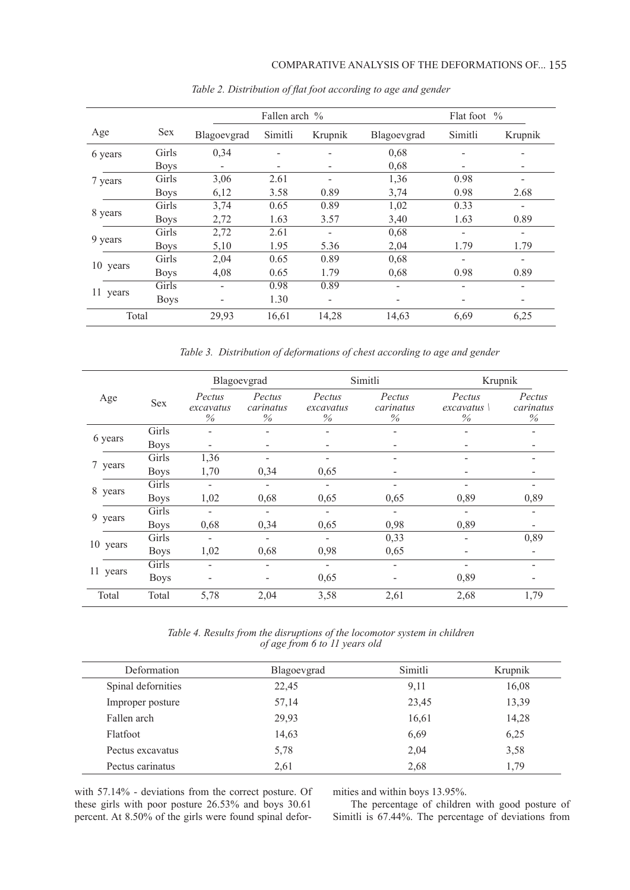|          |                     | Fallen arch % |         |         |              | Flat foot $\%$ |         |  |
|----------|---------------------|---------------|---------|---------|--------------|----------------|---------|--|
| Age      | <b>Sex</b>          | Blagoevgrad   | Simitli | Krupnik | Blagoevgrad  | Simitli        | Krupnik |  |
| 6 years  | Girls               | 0,34          |         |         | 0,68         |                |         |  |
|          | <b>Boys</b>         |               | -       |         | 0,68         |                | -       |  |
| 7 years  | Girls               | 3,06          | 2.61    |         | 1,36         | 0.98           |         |  |
|          | <b>Boys</b>         | 6,12          | 3.58    | 0.89    | 3,74         | 0.98           | 2.68    |  |
|          | Girls               | 3,74          | 0.65    | 0.89    | 1,02         | 0.33           |         |  |
| 8 years  | <b>Boys</b>         | 2,72          | 1.63    | 3.57    | 3,40         | 1.63           | 0.89    |  |
|          | Girls               | 2,72          | 2.61    |         | 0,68         |                |         |  |
| 9 years  | <b>Boys</b>         | 5,10          | 1.95    | 5.36    | 2,04<br>0,68 | 1.79           | 1.79    |  |
| 10 years | Girls               | 2,04          | 0.65    | 0.89    |              |                | -       |  |
|          | <b>Boys</b>         | 4,08          | 0.65    | 1.79    | 0,68         | 0.98           | 0.89    |  |
|          | Girls               |               | 0.98    | 0.89    | ۰            |                |         |  |
| 11 years | 1.30<br><b>Boys</b> |               | -       |         | -            |                |         |  |
| Total    |                     | 29,93         | 16,61   | 14,28   | 14,63        | 6,69           | 6,25    |  |

*Table 2. Distribution of flat foot according to age and gender*

*Table 3. Distribution of deformations of chest according to age and gender*

|             |             | Blagoevgrad                 |                             |                             | Simitli                     | Krupnik                     |                             |
|-------------|-------------|-----------------------------|-----------------------------|-----------------------------|-----------------------------|-----------------------------|-----------------------------|
| Age         | Sex         | Pectus<br>excavatus<br>$\%$ | Pectus<br>carinatus<br>$\%$ | Pectus<br>excavatus<br>$\%$ | Pectus<br>carinatus<br>$\%$ | Pectus<br>excavatus<br>$\%$ | Pectus<br>carinatus<br>$\%$ |
| 6 years     | Girls       |                             |                             |                             |                             |                             |                             |
|             | <b>Boys</b> |                             |                             |                             |                             |                             |                             |
| 7 years     | Girls       | 1,36                        |                             |                             |                             |                             |                             |
|             | <b>Boys</b> | 1,70                        | 0,34                        | 0,65                        |                             |                             |                             |
| 8<br>years  | Girls       |                             |                             |                             |                             |                             |                             |
|             | <b>Boys</b> | 1,02                        | 0,68                        | 0,65                        | 0,65                        | 0,89                        | 0,89                        |
|             | Girls       |                             |                             |                             |                             |                             |                             |
| 9 years     | <b>Boys</b> | 0,68                        | 0,34                        | 0,65                        | 0,98                        | 0,89                        |                             |
| 10 years    | Girls       |                             |                             |                             | 0,33                        |                             | 0,89                        |
|             | <b>Boys</b> | 1,02                        | 0,68                        | 0,98                        | 0,65                        |                             |                             |
| 11<br>years | Girls       |                             |                             |                             |                             |                             |                             |
|             | <b>Boys</b> |                             |                             | 0,65                        |                             | 0,89                        |                             |
| Total       | Total       | 5,78                        | 2,04                        | 3,58                        | 2,61                        | 2,68                        | 1,79                        |

*Table 4. Results from the disruptions of the locomotor system in children of age from 6 to 11 years old*

| Deformation        | Blagoevgrad | Simitli | Krupnik |
|--------------------|-------------|---------|---------|
| Spinal defornities | 22,45       | 9,11    | 16,08   |
| Improper posture   | 57,14       | 23,45   | 13,39   |
| Fallen arch        | 29,93       | 16,61   | 14,28   |
| Flatfoot           | 14,63       | 6,69    | 6,25    |
| Pectus excavatus   | 5,78        | 2,04    | 3,58    |
| Pectus carinatus   | 2.61        | 2,68    | 1,79    |

with 57.14% - deviations from the correct posture. Of these girls with poor posture 26.53% and boys 30.61 percent. At 8.50% of the girls were found spinal deformities and within boys 13.95%.

The percentage of children with good posture of Simitli is 67.44%. The percentage of deviations from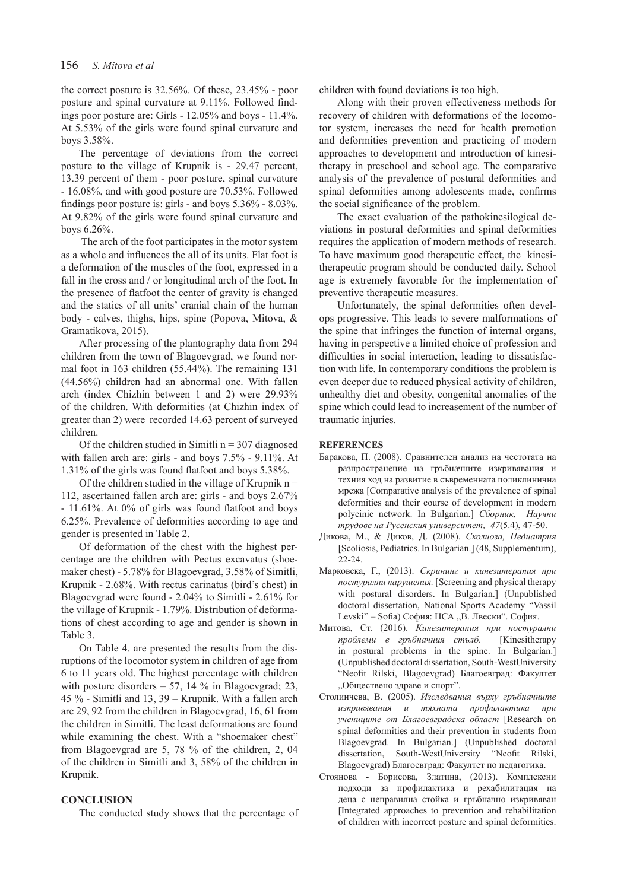the correct posture is 32.56%. Of these, 23.45% - poor posture and spinal curvature at 9.11%. Followed findings poor posture are: Girls - 12.05% and boys - 11.4%. At 5.53% of the girls were found spinal curvature and boys 3.58%.

The percentage of deviations from the correct posture to the village of Krupnik is - 29.47 percent, 13.39 percent of them - poor posture, spinal curvature - 16.08%, and with good posture are 70.53%. Followed findings poor posture is: girls - and boys 5.36% - 8.03%. At 9.82% of the girls were found spinal curvature and boys 6.26%.

The arch of the foot participates in the motor system as a whole and influences the all of its units. Flat foot is a deformation of the muscles of the foot, expressed in a fall in the cross and / or longitudinal arch of the foot. In the presence of flatfoot the center of gravity is changed and the statics of all units' cranial chain of the human body - calves, thighs, hips, spine (Popova, Mitova, & Gramatikova, 2015).

After processing of the plantography data from 294 children from the town of Blagoevgrad, we found normal foot in 163 children (55.44%). The remaining 131 (44.56%) children had an abnormal one. With fallen arch (index Chizhin between 1 and 2) were 29.93% of the children. With deformities (at Chizhin index of greater than 2) were recorded 14.63 percent of surveyed children.

Of the children studied in Simitli  $n = 307$  diagnosed with fallen arch are: girls - and boys 7.5% - 9.11%. At 1.31% of the girls was found flatfoot and boys 5.38%.

Of the children studied in the village of Krupnik  $n =$ 112, ascertained fallen arch are: girls - and boys 2.67% - 11.61%. At 0% of girls was found flatfoot and boys 6.25%. Prevalence of deformities according to age and gender is presented in Table 2.

Of deformation of the chest with the highest percentage are the children with Pectus excavatus (shoemaker chest) - 5.78% for Blagoevgrad, 3.58% of Simitli, Krupnik - 2.68%. With rectus carinatus (bird's chest) in Blagoevgrad were found - 2.04% to Simitli - 2.61% for the village of Krupnik - 1.79%. Distribution of deformations of chest according to age and gender is shown in Table 3.

On Table 4. are presented the results from the disruptions of the locomotor system in children of age from 6 to 11 years old. The highest percentage with children with posture disorders  $-57$ , 14 % in Blagoevgrad; 23, 45 % - Simitli and 13, 39 – Krupnik. With a fallen arch are 29, 92 from the children in Blagoevgrad, 16, 61 from the children in Simitli. The least deformations are found while examining the chest. With a "shoemaker chest" from Blagoevgrad are 5, 78 % of the children, 2, 04 of the children in Simitli and 3, 58% of the children in Krupnik.

#### **CONCLUSION**

The conducted study shows that the percentage of

children with found deviations is too high.

Along with their proven effectiveness methods for recovery of children with deformations of the locomotor system, increases the need for health promotion and deformities prevention and practicing of modern approaches to development and introduction of kinesitherapy in preschool and school age. The comparative analysis of the prevalence of postural deformities and spinal deformities among adolescents made, confirms the social significance of the problem.

The exact evaluation of the pathokinesilogical deviations in postural deformities and spinal deformities requires the application of modern methods of research. To have maximum good therapeutic effect, the kinesitherapeutic program should be conducted daily. School age is extremely favorable for the implementation of preventive therapeutic measures.

Unfortunately, the spinal deformities often develops progressive. This leads to severe malformations of the spine that infringes the function of internal organs, having in perspective a limited choice of profession and difficulties in social interaction, leading to dissatisfaction with life. In contemporary conditions the problem is even deeper due to reduced physical activity of children, unhealthy diet and obesity, congenital anomalies of the spine which could lead to increasement of the number of traumatic injuries.

#### **REFERENCES**

- Баракова, П. (2008). Сравнителен анализ на честотата на разпространение на гръбначните изкривявания и техния ход на развитие в съвременната поликлинична мрежа [Comparative analysis of the prevalence of spinal deformities and their course of development in modern polycinic network. In Bulgarian.] *Сборник, Научни трудове на Русенския университет, 47*(5.4), 47-50.
- Дикова, М., & Диков, Д. (2008). *Сколиоза, Педиатрия* [Scoliosis, Pediatrics. In Bulgarian.] (48, Supplementum), 22-24.
- Марковска, Г., (2013). *Скрининг и кинезитерапия при постурални нарушения.* [Screening and physical therapy with postural disorders. In Bulgarian.] (Unpublished doctoral dissertation, National Sports Academy "Vassil Levski" – Sofia) София: НСА "В. Лвески". София.
- Митова, Ст. (2016). *Кинезитерапия при постурални проблеми в гръбначния стълб.* [Kinesitherapy in postural problems in the spine. In Bulgarian.] (Unpublished doctoral dissertation, South-WestUniversity "Neofit Rilski, Blagoevgrad) Благоевград: Факултет "Обществено здраве и спорт".
- Столинчева, В. (2005). *Изследвания върху гръбначните изкривявания и тяхната профилактика при учениците от Благоевградска област* [Research on spinal deformities and their prevention in students from Blagoevgrad. In Bulgarian.] (Unpublished doctoral dissertation, South-WestUniversity "Neofit Rilski, Blagoevgrad) Благоевград: Факултет по педагогика.
- Стоянова Борисова, Златина, (2013). Комплексни подходи за профилактика и рехабилитация на деца с неправилна стойка и гръбначно изкривяван [Integrated approaches to prevention and rehabilitation of children with incorrect posture and spinal deformities.